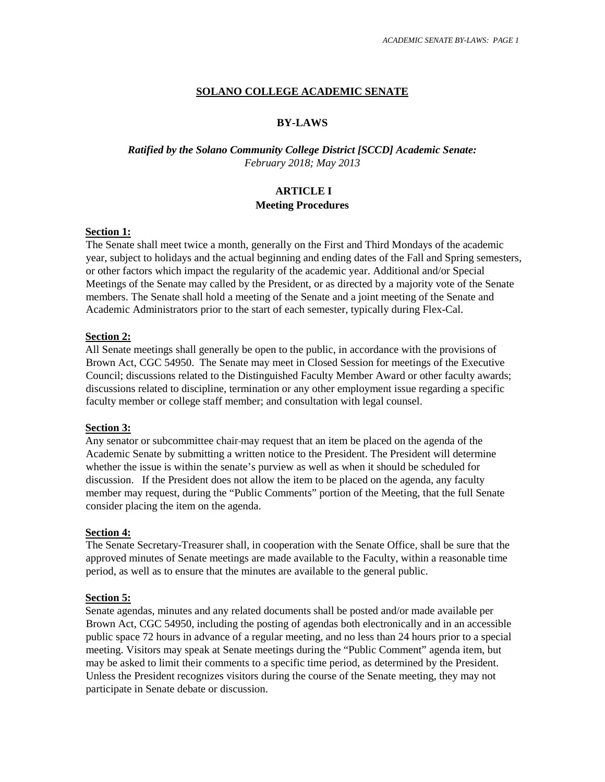# **SOLANO COLLEGE ACADEMIC SENATE**

# **BY-LAWS**

# *Ratified by the Solano Community College District [SCCD] Academic Senate: February 2018; May 2013*

# **ARTICLE I Meeting Procedures**

#### **Section 1:**

The Senate shall meet twice a month, generally on the First and Third Mondays of the academic year, subject to holidays and the actual beginning and ending dates of the Fall and Spring semesters, or other factors which impact the regularity of the academic year. Additional and/or Special Meetings of the Senate may called by the President, or as directed by a majority vote of the Senate members. The Senate shall hold a meeting of the Senate and a joint meeting of the Senate and Academic Administrators prior to the start of each semester, typically during Flex-Cal.

## **Section 2:**

All Senate meetings shall generally be open to the public, in accordance with the provisions of Brown Act, CGC 54950. The Senate may meet in Closed Session for meetings of the Executive Council; discussions related to the Distinguished Faculty Member Award or other faculty awards; discussions related to discipline, termination or any other employment issue regarding a specific faculty member or college staff member; and consultation with legal counsel.

#### **Section 3:**

Any senator or subcommittee chair may request that an item be placed on the agenda of the Academic Senate by submitting a written notice to the President. The President will determine whether the issue is within the senate's purview as well as when it should be scheduled for discussion. If the President does not allow the item to be placed on the agenda, any faculty member may request, during the "Public Comments" portion of the Meeting, that the full Senate consider placing the item on the agenda.

# **Section 4:**

The Senate Secretary-Treasurer shall, in cooperation with the Senate Office, shall be sure that the approved minutes of Senate meetings are made available to the Faculty, within a reasonable time period, as well as to ensure that the minutes are available to the general public.

# **Section 5:**

Senate agendas, minutes and any related documents shall be posted and/or made available per Brown Act, CGC 54950, including the posting of agendas both electronically and in an accessible public space 72 hours in advance of a regular meeting, and no less than 24 hours prior to a special meeting. Visitors may speak at Senate meetings during the "Public Comment" agenda item, but may be asked to limit their comments to a specific time period, as determined by the President. Unless the President recognizes visitors during the course of the Senate meeting, they may not participate in Senate debate or discussion.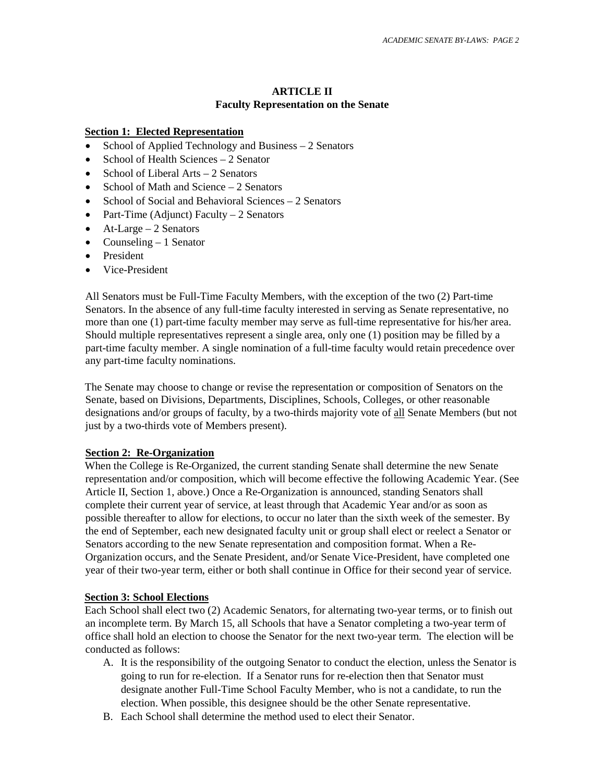# **ARTICLE II Faculty Representation on the Senate**

#### **Section 1: Elected Representation**

- School of Applied Technology and Business 2 Senators
- School of Health Sciences 2 Senator
- School of Liberal Arts  $-2$  Senators
- School of Math and Science 2 Senators
- School of Social and Behavioral Sciences 2 Senators
- Part-Time (Adjunct) Faculty 2 Senators
- At-Large  $-2$  Senators
- Counseling 1 Senator
- **President**
- Vice-President

All Senators must be Full-Time Faculty Members, with the exception of the two (2) Part-time Senators. In the absence of any full-time faculty interested in serving as Senate representative, no more than one (1) part-time faculty member may serve as full-time representative for his/her area. Should multiple representatives represent a single area, only one (1) position may be filled by a part-time faculty member. A single nomination of a full-time faculty would retain precedence over any part-time faculty nominations.

The Senate may choose to change or revise the representation or composition of Senators on the Senate, based on Divisions, Departments, Disciplines, Schools, Colleges, or other reasonable designations and/or groups of faculty, by a two-thirds majority vote of all Senate Members (but not just by a two-thirds vote of Members present).

## **Section 2: Re-Organization**

When the College is Re-Organized, the current standing Senate shall determine the new Senate representation and/or composition, which will become effective the following Academic Year. (See Article II, Section 1, above.) Once a Re-Organization is announced, standing Senators shall complete their current year of service, at least through that Academic Year and/or as soon as possible thereafter to allow for elections, to occur no later than the sixth week of the semester. By the end of September, each new designated faculty unit or group shall elect or reelect a Senator or Senators according to the new Senate representation and composition format. When a Re-Organization occurs, and the Senate President, and/or Senate Vice-President, have completed one year of their two-year term, either or both shall continue in Office for their second year of service.

#### **Section 3: School Elections**

Each School shall elect two (2) Academic Senators, for alternating two-year terms, or to finish out an incomplete term. By March 15, all Schools that have a Senator completing a two-year term of office shall hold an election to choose the Senator for the next two-year term. The election will be conducted as follows:

- A. It is the responsibility of the outgoing Senator to conduct the election, unless the Senator is going to run for re-election. If a Senator runs for re-election then that Senator must designate another Full-Time School Faculty Member, who is not a candidate, to run the election. When possible, this designee should be the other Senate representative.
- B. Each School shall determine the method used to elect their Senator.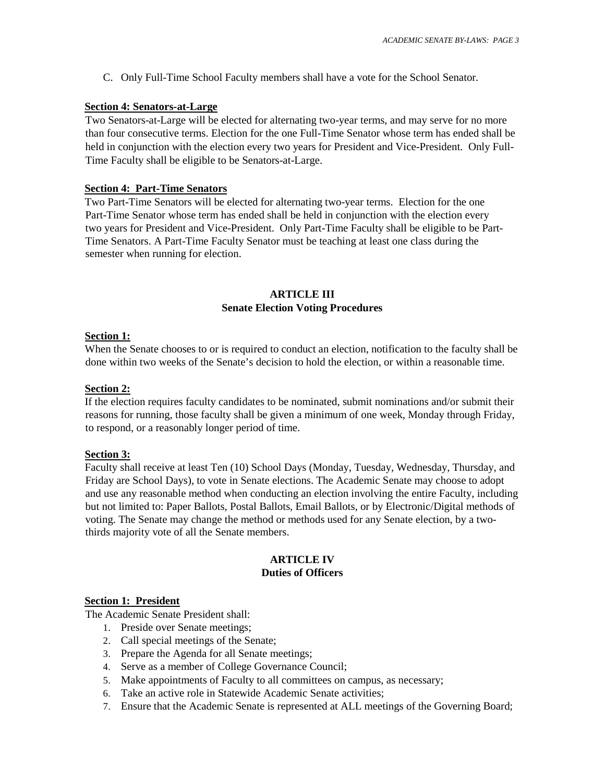C. Only Full-Time School Faculty members shall have a vote for the School Senator.

## **Section 4: Senators-at-Large**

Two Senators-at-Large will be elected for alternating two-year terms, and may serve for no more than four consecutive terms. Election for the one Full-Time Senator whose term has ended shall be held in conjunction with the election every two years for President and Vice-President. Only Full-Time Faculty shall be eligible to be Senators-at-Large.

## **Section 4: Part-Time Senators**

Two Part-Time Senators will be elected for alternating two-year terms. Election for the one Part-Time Senator whose term has ended shall be held in conjunction with the election every two years for President and Vice-President. Only Part-Time Faculty shall be eligible to be Part-Time Senators. A Part-Time Faculty Senator must be teaching at least one class during the semester when running for election.

# **ARTICLE III Senate Election Voting Procedures**

## **Section 1:**

When the Senate chooses to or is required to conduct an election, notification to the faculty shall be done within two weeks of the Senate's decision to hold the election, or within a reasonable time.

## **Section 2:**

If the election requires faculty candidates to be nominated, submit nominations and/or submit their reasons for running, those faculty shall be given a minimum of one week, Monday through Friday, to respond, or a reasonably longer period of time.

#### **Section 3:**

Faculty shall receive at least Ten (10) School Days (Monday, Tuesday, Wednesday, Thursday, and Friday are School Days), to vote in Senate elections. The Academic Senate may choose to adopt and use any reasonable method when conducting an election involving the entire Faculty, including but not limited to: Paper Ballots, Postal Ballots, Email Ballots, or by Electronic/Digital methods of voting. The Senate may change the method or methods used for any Senate election, by a twothirds majority vote of all the Senate members.

# **ARTICLE IV Duties of Officers**

#### **Section 1: President**

The Academic Senate President shall:

- 1. Preside over Senate meetings;
- 2. Call special meetings of the Senate;
- 3. Prepare the Agenda for all Senate meetings;
- 4. Serve as a member of College Governance Council;
- 5. Make appointments of Faculty to all committees on campus, as necessary;
- 6. Take an active role in Statewide Academic Senate activities;
- 7. Ensure that the Academic Senate is represented at ALL meetings of the Governing Board;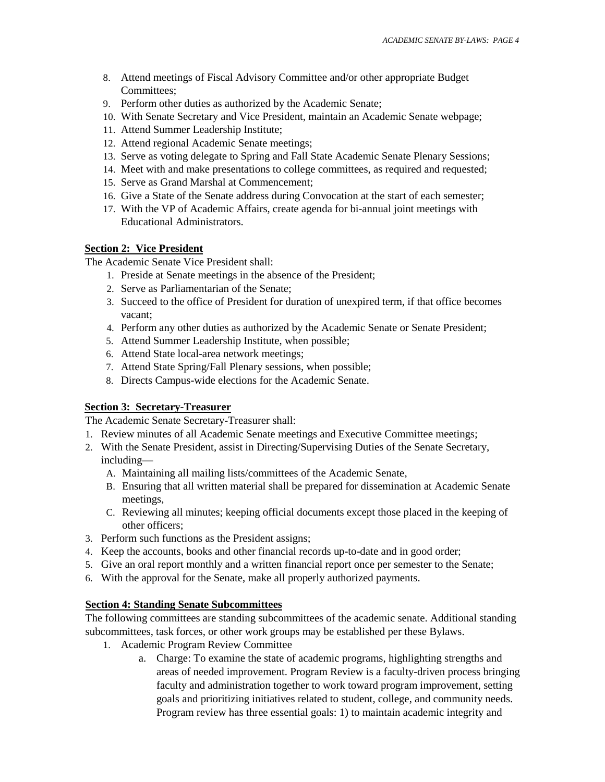- 8. Attend meetings of Fiscal Advisory Committee and/or other appropriate Budget Committees;
- 9. Perform other duties as authorized by the Academic Senate;
- 10. With Senate Secretary and Vice President, maintain an Academic Senate webpage;
- 11. Attend Summer Leadership Institute;
- 12. Attend regional Academic Senate meetings;
- 13. Serve as voting delegate to Spring and Fall State Academic Senate Plenary Sessions;
- 14. Meet with and make presentations to college committees, as required and requested;
- 15. Serve as Grand Marshal at Commencement;
- 16. Give a State of the Senate address during Convocation at the start of each semester;
- 17. With the VP of Academic Affairs, create agenda for bi-annual joint meetings with Educational Administrators.

#### **Section 2: Vice President**

The Academic Senate Vice President shall:

- 1. Preside at Senate meetings in the absence of the President;
- 2. Serve as Parliamentarian of the Senate;
- 3. Succeed to the office of President for duration of unexpired term, if that office becomes vacant;
- 4. Perform any other duties as authorized by the Academic Senate or Senate President;
- 5. Attend Summer Leadership Institute, when possible;
- 6. Attend State local-area network meetings;
- 7. Attend State Spring/Fall Plenary sessions, when possible;
- 8. Directs Campus-wide elections for the Academic Senate.

# **Section 3: Secretary-Treasurer**

The Academic Senate Secretary-Treasurer shall:

- 1. Review minutes of all Academic Senate meetings and Executive Committee meetings;
- 2. With the Senate President, assist in Directing/Supervising Duties of the Senate Secretary, including—
	- A. Maintaining all mailing lists/committees of the Academic Senate,
	- B. Ensuring that all written material shall be prepared for dissemination at Academic Senate meetings,
	- C. Reviewing all minutes; keeping official documents except those placed in the keeping of other officers;
- 3. Perform such functions as the President assigns;
- 4. Keep the accounts, books and other financial records up-to-date and in good order;
- 5. Give an oral report monthly and a written financial report once per semester to the Senate;
- 6. With the approval for the Senate, make all properly authorized payments.

## **Section 4: Standing Senate Subcommittees**

The following committees are standing subcommittees of the academic senate. Additional standing subcommittees, task forces, or other work groups may be established per these Bylaws.

- 1. Academic Program Review Committee
	- a. Charge: To examine the state of academic programs, highlighting strengths and areas of needed improvement. Program Review is a faculty-driven process bringing faculty and administration together to work toward program improvement, setting goals and prioritizing initiatives related to student, college, and community needs. Program review has three essential goals: 1) to maintain academic integrity and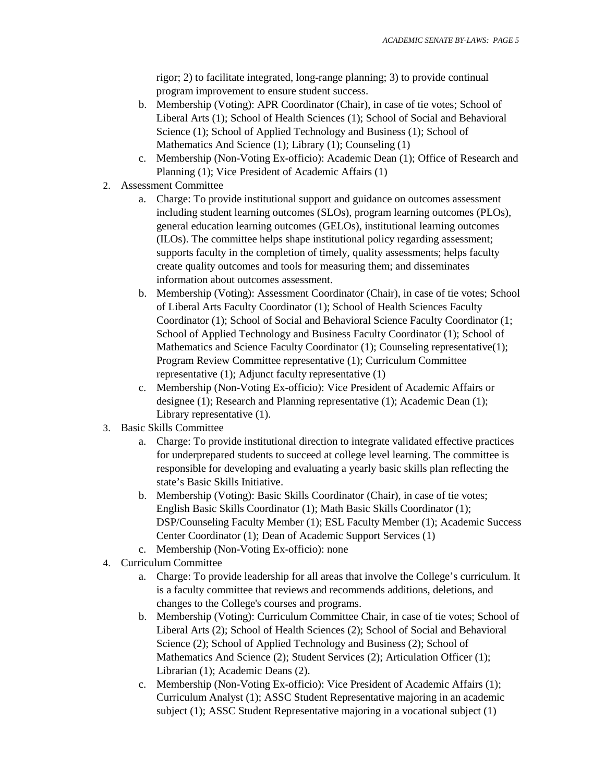rigor; 2) to facilitate integrated, long-range planning; 3) to provide continual program improvement to ensure student success.

- b. Membership (Voting): APR Coordinator (Chair), in case of tie votes; School of Liberal Arts (1); School of Health Sciences (1); School of Social and Behavioral Science (1); School of Applied Technology and Business (1); School of Mathematics And Science (1); Library (1); Counseling (1)
- c. Membership (Non-Voting Ex-officio): Academic Dean (1); Office of Research and Planning (1); Vice President of Academic Affairs (1)
- 2. Assessment Committee
	- a. Charge: To provide institutional support and guidance on outcomes assessment including student learning outcomes (SLOs), program learning outcomes (PLOs), general education learning outcomes (GELOs), institutional learning outcomes (ILOs). The committee helps shape institutional policy regarding assessment; supports faculty in the completion of timely, quality assessments; helps faculty create quality outcomes and tools for measuring them; and disseminates information about outcomes assessment.
	- b. Membership (Voting): Assessment Coordinator (Chair), in case of tie votes; School of Liberal Arts Faculty Coordinator (1); School of Health Sciences Faculty Coordinator (1); School of Social and Behavioral Science Faculty Coordinator (1; School of Applied Technology and Business Faculty Coordinator (1); School of Mathematics and Science Faculty Coordinator (1); Counseling representative(1); Program Review Committee representative (1); Curriculum Committee representative (1); Adjunct faculty representative (1)
	- c. Membership (Non-Voting Ex-officio): Vice President of Academic Affairs or designee (1); Research and Planning representative (1); Academic Dean (1); Library representative (1).
- 3. Basic Skills Committee
	- a. Charge: To provide institutional direction to integrate validated effective practices for underprepared students to succeed at college level learning. The committee is responsible for developing and evaluating a yearly basic skills plan reflecting the state's Basic Skills Initiative.
	- b. Membership (Voting): Basic Skills Coordinator (Chair), in case of tie votes; English Basic Skills Coordinator (1); Math Basic Skills Coordinator (1); DSP/Counseling Faculty Member (1); ESL Faculty Member (1); Academic Success Center Coordinator (1); Dean of Academic Support Services (1)
	- c. Membership (Non-Voting Ex-officio): none
- 4. Curriculum Committee
	- a. Charge: To provide leadership for all areas that involve the College's curriculum. It is a faculty committee that reviews and recommends additions, deletions, and changes to the College's courses and programs.
	- b. Membership (Voting): Curriculum Committee Chair, in case of tie votes; School of Liberal Arts (2); School of Health Sciences (2); School of Social and Behavioral Science (2); School of Applied Technology and Business (2); School of Mathematics And Science (2); Student Services (2); Articulation Officer (1); Librarian (1); Academic Deans (2).
	- c. Membership (Non-Voting Ex-officio): Vice President of Academic Affairs (1); Curriculum Analyst (1); ASSC Student Representative majoring in an academic subject (1); ASSC Student Representative majoring in a vocational subject (1)